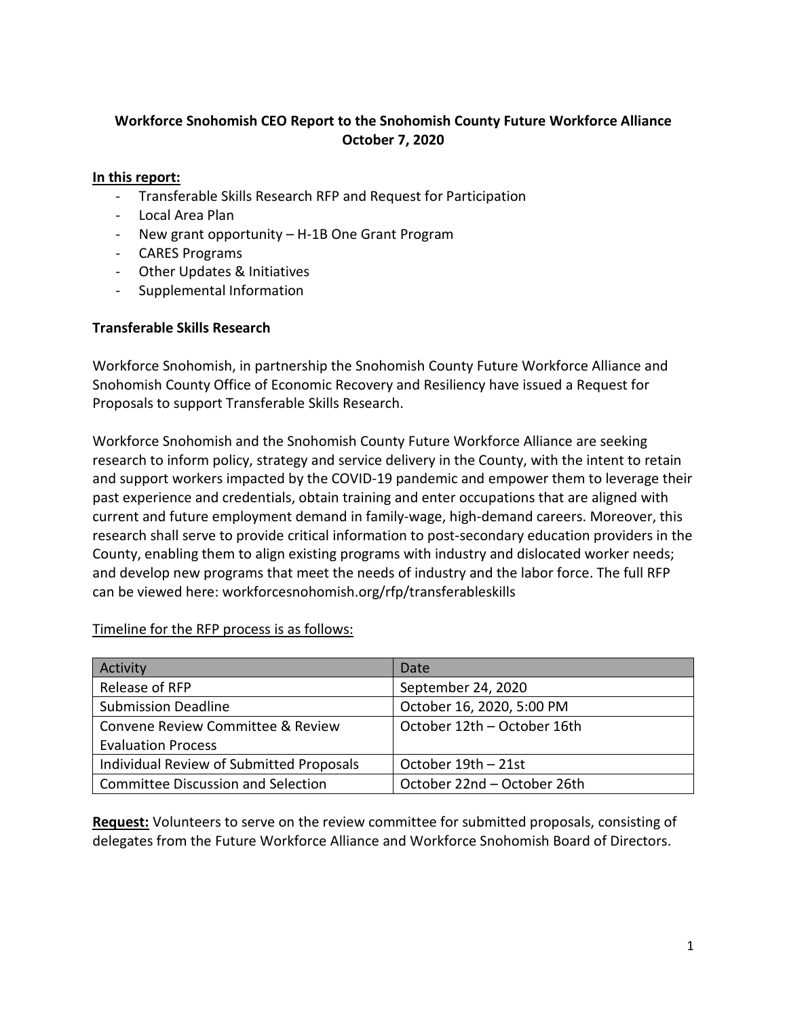### **Workforce Snohomish CEO Report to the Snohomish County Future Workforce Alliance October 7, 2020**

### **In this report:**

- Transferable Skills Research RFP and Request for Participation
- Local Area Plan
- New grant opportunity H-1B One Grant Program
- CARES Programs
- Other Updates & Initiatives
- Supplemental Information

### **Transferable Skills Research**

Workforce Snohomish, in partnership the Snohomish County Future Workforce Alliance and Snohomish County Office of Economic Recovery and Resiliency have issued a Request for Proposals to support Transferable Skills Research.

Workforce Snohomish and the Snohomish County Future Workforce Alliance are seeking research to inform policy, strategy and service delivery in the County, with the intent to retain and support workers impacted by the COVID-19 pandemic and empower them to leverage their past experience and credentials, obtain training and enter occupations that are aligned with current and future employment demand in family-wage, high-demand careers. Moreover, this research shall serve to provide critical information to post-secondary education providers in the County, enabling them to align existing programs with industry and dislocated worker needs; and develop new programs that meet the needs of industry and the labor force. The full RFP can be viewed here: [workforcesnohomish.org/rfp/transferableskills](https://workforcesnohomish.org/rfp/transferableskills)

### Timeline for the RFP process is as follows:

| Activity                                 | Date                        |  |
|------------------------------------------|-----------------------------|--|
| Release of RFP                           | September 24, 2020          |  |
| <b>Submission Deadline</b>               | October 16, 2020, 5:00 PM   |  |
| Convene Review Committee & Review        | October 12th - October 16th |  |
| <b>Evaluation Process</b>                |                             |  |
| Individual Review of Submitted Proposals | October 19th - 21st         |  |
| Committee Discussion and Selection       | October 22nd – October 26th |  |

**Request:** Volunteers to serve on the review committee for submitted proposals, consisting of delegates from the Future Workforce Alliance and Workforce Snohomish Board of Directors.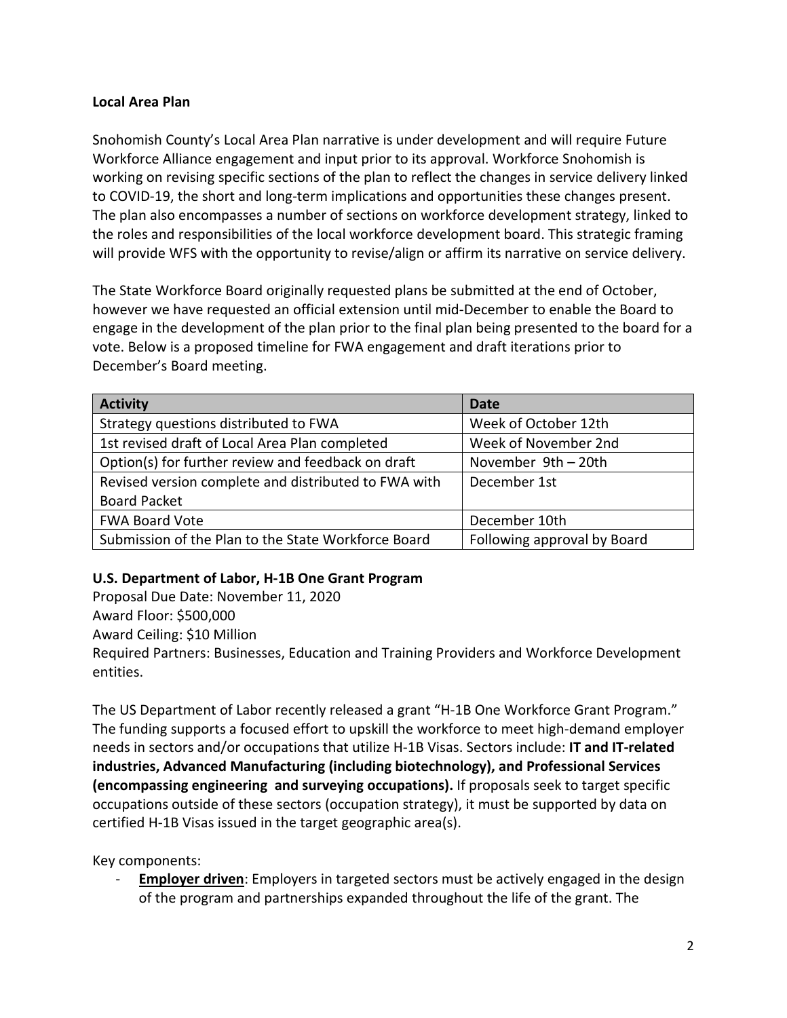### **Local Area Plan**

Snohomish County's Local Area Plan narrative is under development and will require Future Workforce Alliance engagement and input prior to its approval. Workforce Snohomish is working on revising specific sections of the plan to reflect the changes in service delivery linked to COVID-19, the short and long-term implications and opportunities these changes present. The plan also encompasses a number of sections on workforce development strategy, linked to the roles and responsibilities of the local workforce development board. This strategic framing will provide WFS with the opportunity to revise/align or affirm its narrative on service delivery.

The State Workforce Board originally requested plans be submitted at the end of October, however we have requested an official extension until mid-December to enable the Board to engage in the development of the plan prior to the final plan being presented to the board for a vote. Below is a proposed timeline for FWA engagement and draft iterations prior to December's Board meeting.

| <b>Activity</b>                                      | <b>Date</b>                 |  |
|------------------------------------------------------|-----------------------------|--|
| Strategy questions distributed to FWA                | Week of October 12th        |  |
| 1st revised draft of Local Area Plan completed       | Week of November 2nd        |  |
| Option(s) for further review and feedback on draft   | November 9th - 20th         |  |
| Revised version complete and distributed to FWA with | December 1st                |  |
| <b>Board Packet</b>                                  |                             |  |
| <b>FWA Board Vote</b>                                | December 10th               |  |
| Submission of the Plan to the State Workforce Board  | Following approval by Board |  |

### **U.S. Department of Labor, H-1B One Grant Program**

Proposal Due Date: November 11, 2020 Award Floor: \$500,000 Award Ceiling: \$10 Million Required Partners: Businesses, Education and Training Providers and Workforce Development entities.

The US Department of Labor recently released a grant "H-1B One Workforce Grant Program." The funding supports a focused effort to upskill the workforce to meet high-demand employer needs in sectors and/or occupations that utilize H-1B Visas. Sectors include: **IT and IT-related industries, Advanced Manufacturing (including biotechnology), and Professional Services (encompassing engineering and surveying occupations).** If proposals seek to target specific occupations outside of these sectors (occupation strategy), it must be supported by data on certified H-1B Visas issued in the target geographic area(s).

Key components:

**Employer driven**: Employers in targeted sectors must be actively engaged in the design of the program and partnerships expanded throughout the life of the grant. The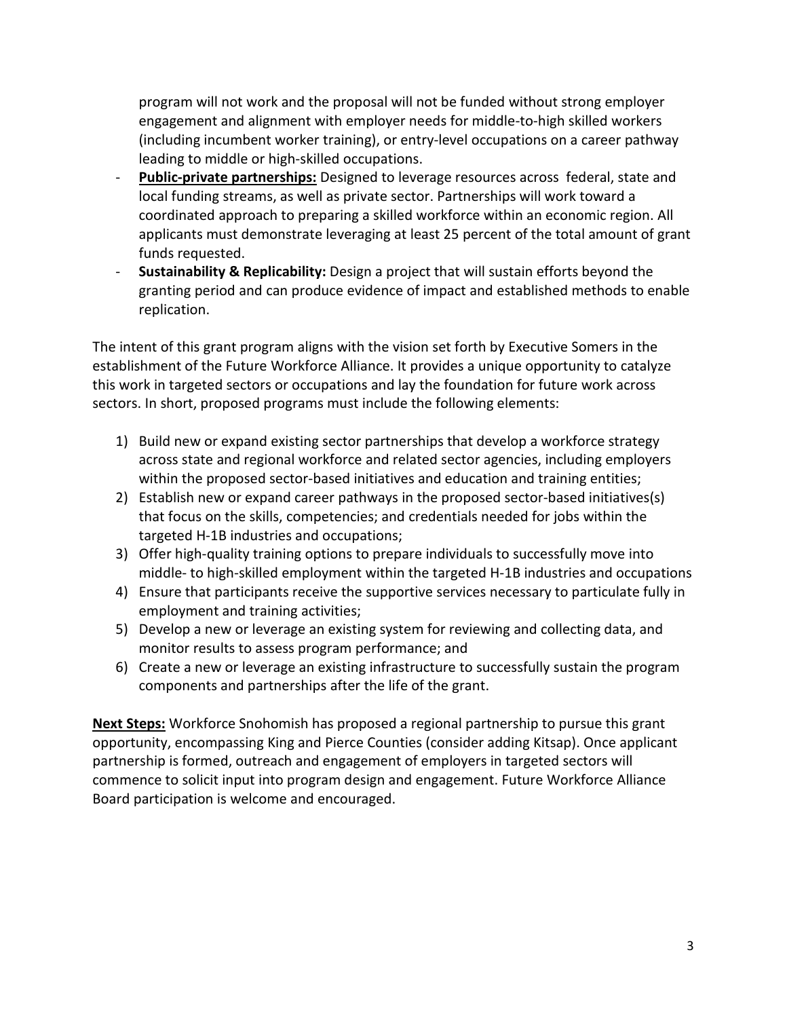program will not work and the proposal will not be funded without strong employer engagement and alignment with employer needs for middle-to-high skilled workers (including incumbent worker training), or entry-level occupations on a career pathway leading to middle or high-skilled occupations.

- **Public-private partnerships:** Designed to leverage resources across federal, state and local funding streams, as well as private sector. Partnerships will work toward a coordinated approach to preparing a skilled workforce within an economic region. All applicants must demonstrate leveraging at least 25 percent of the total amount of grant funds requested.
- **Sustainability & Replicability:** Design a project that will sustain efforts beyond the granting period and can produce evidence of impact and established methods to enable replication.

The intent of this grant program aligns with the vision set forth by Executive Somers in the establishment of the Future Workforce Alliance. It provides a unique opportunity to catalyze this work in targeted sectors or occupations and lay the foundation for future work across sectors. In short, proposed programs must include the following elements:

- 1) Build new or expand existing sector partnerships that develop a workforce strategy across state and regional workforce and related sector agencies, including employers within the proposed sector-based initiatives and education and training entities;
- 2) Establish new or expand career pathways in the proposed sector-based initiatives(s) that focus on the skills, competencies; and credentials needed for jobs within the targeted H-1B industries and occupations;
- 3) Offer high-quality training options to prepare individuals to successfully move into middle- to high-skilled employment within the targeted H-1B industries and occupations
- 4) Ensure that participants receive the supportive services necessary to particulate fully in employment and training activities;
- 5) Develop a new or leverage an existing system for reviewing and collecting data, and monitor results to assess program performance; and
- 6) Create a new or leverage an existing infrastructure to successfully sustain the program components and partnerships after the life of the grant.

**Next Steps:** Workforce Snohomish has proposed a regional partnership to pursue this grant opportunity, encompassing King and Pierce Counties (consider adding Kitsap). Once applicant partnership is formed, outreach and engagement of employers in targeted sectors will commence to solicit input into program design and engagement. Future Workforce Alliance Board participation is welcome and encouraged.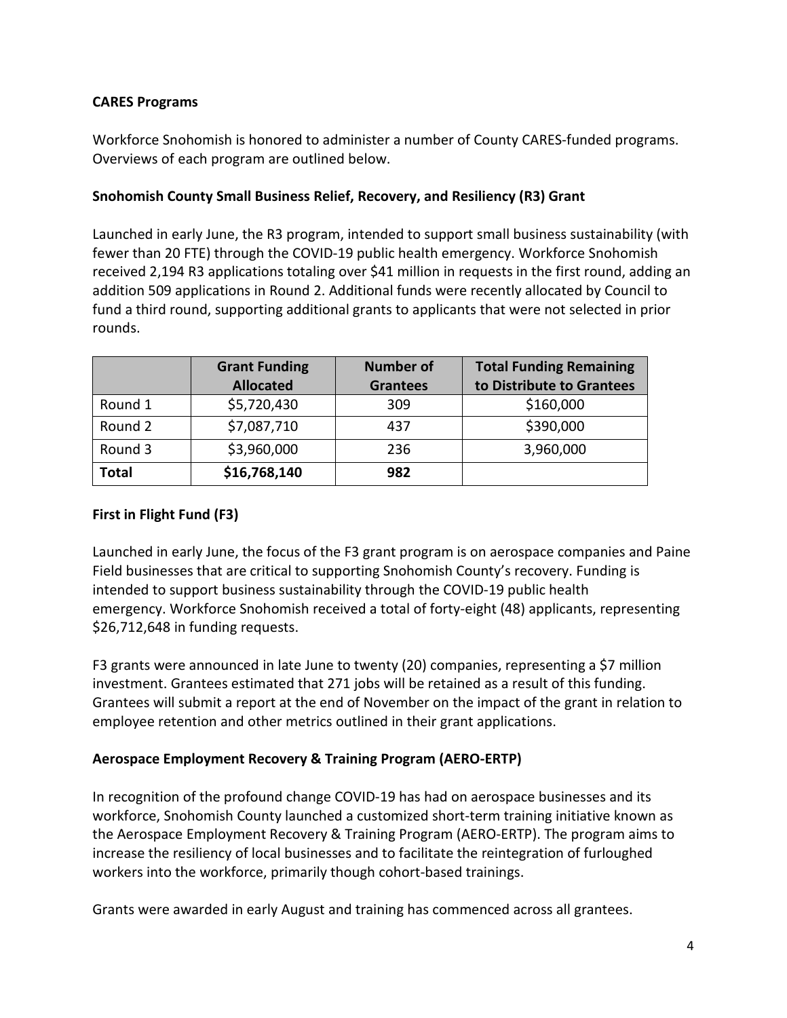### **CARES Programs**

Workforce Snohomish is honored to administer a number of County CARES-funded programs. Overviews of each program are outlined below.

### **Snohomish County Small Business Relief, Recovery, and Resiliency (R3) Grant**

Launched in early June, the R3 program, intended to support small business sustainability (with fewer than 20 FTE) through the COVID-19 public health emergency. Workforce Snohomish received 2,194 R3 applications totaling over \$41 million in requests in the first round, adding an addition 509 applications in Round 2. Additional funds were recently allocated by Council to fund a third round, supporting additional grants to applicants that were not selected in prior rounds.

|              | <b>Grant Funding</b><br><b>Allocated</b> | <b>Number of</b><br><b>Grantees</b> | <b>Total Funding Remaining</b><br>to Distribute to Grantees |
|--------------|------------------------------------------|-------------------------------------|-------------------------------------------------------------|
| Round 1      | \$5,720,430                              | 309                                 | \$160,000                                                   |
| Round 2      | \$7,087,710                              | 437                                 | \$390,000                                                   |
| Round 3      | \$3,960,000                              | 236                                 | 3,960,000                                                   |
| <b>Total</b> | \$16,768,140                             | 982                                 |                                                             |

## **First in Flight Fund (F3)**

Launched in early June, the focus of the F3 grant program is on aerospace companies and Paine Field businesses that are critical to supporting Snohomish County's recovery. Funding is intended to support business sustainability through the COVID-19 public health emergency. Workforce Snohomish received a total of forty-eight (48) applicants, representing \$26,712,648 in funding requests.

F3 grants were announced in late June to twenty (20) companies, representing a \$7 million investment. Grantees estimated that 271 jobs will be retained as a result of this funding. Grantees will submit a report at the end of November on the impact of the grant in relation to employee retention and other metrics outlined in their grant applications.

### **Aerospace Employment Recovery & Training Program (AERO-ERTP)**

In recognition of the profound change COVID-19 has had on aerospace businesses and its workforce, Snohomish County launched a customized short-term training initiative known as the Aerospace Employment Recovery & Training Program (AERO-ERTP). The program aims to increase the resiliency of local businesses and to facilitate the reintegration of furloughed workers into the workforce, primarily though cohort-based trainings.

Grants were awarded in early August and training has commenced across all grantees.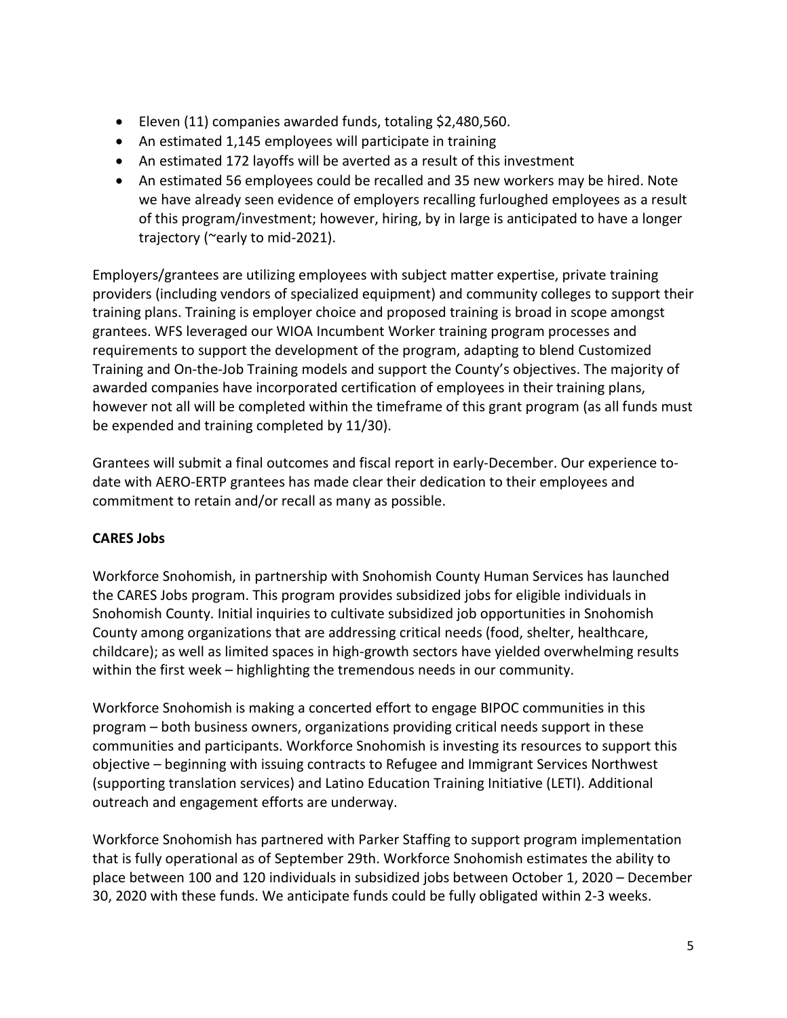- Eleven (11) companies awarded funds, totaling \$2,480,560.
- An estimated 1,145 employees will participate in training
- An estimated 172 layoffs will be averted as a result of this investment
- An estimated 56 employees could be recalled and 35 new workers may be hired. Note we have already seen evidence of employers recalling furloughed employees as a result of this program/investment; however, hiring, by in large is anticipated to have a longer trajectory (~early to mid-2021).

Employers/grantees are utilizing employees with subject matter expertise, private training providers (including vendors of specialized equipment) and community colleges to support their training plans. Training is employer choice and proposed training is broad in scope amongst grantees. WFS leveraged our WIOA Incumbent Worker training program processes and requirements to support the development of the program, adapting to blend Customized Training and On-the-Job Training models and support the County's objectives. The majority of awarded companies have incorporated certification of employees in their training plans, however not all will be completed within the timeframe of this grant program (as all funds must be expended and training completed by 11/30).

Grantees will submit a final outcomes and fiscal report in early-December. Our experience todate with AERO-ERTP grantees has made clear their dedication to their employees and commitment to retain and/or recall as many as possible.

### **CARES Jobs**

Workforce Snohomish, in partnership with Snohomish County Human Services has launched the CARES Jobs program. This program provides subsidized jobs for eligible individuals in Snohomish County. Initial inquiries to cultivate subsidized job opportunities in Snohomish County among organizations that are addressing critical needs (food, shelter, healthcare, childcare); as well as limited spaces in high-growth sectors have yielded overwhelming results within the first week – highlighting the tremendous needs in our community.

Workforce Snohomish is making a concerted effort to engage BIPOC communities in this program – both business owners, organizations providing critical needs support in these communities and participants. Workforce Snohomish is investing its resources to support this objective – beginning with issuing contracts to Refugee and Immigrant Services Northwest (supporting translation services) and Latino Education Training Initiative (LETI). Additional outreach and engagement efforts are underway.

Workforce Snohomish has partnered with Parker Staffing to support program implementation that is fully operational as of September 29th. Workforce Snohomish estimates the ability to place between 100 and 120 individuals in subsidized jobs between October 1, 2020 – December 30, 2020 with these funds. We anticipate funds could be fully obligated within 2-3 weeks.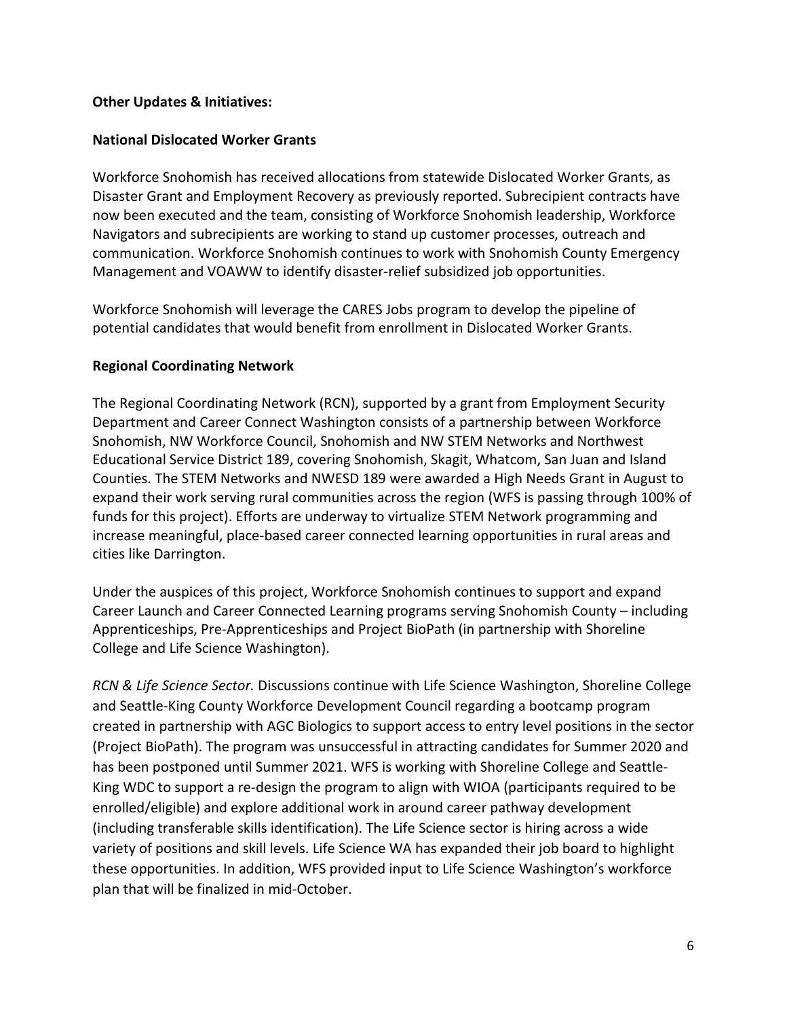### **Other Updates & Initiatives:**

### **National Dislocated Worker Grants**

Workforce Snohomish has received allocations from statewide Dislocated Worker Grants, as Disaster Grant and Employment Recovery as previously reported. Subrecipient contracts have now been executed and the team, consisting of Workforce Snohomish leadership, Workforce Navigators and subrecipients are working to stand up customer processes, outreach and communication. Workforce Snohomish continues to work with Snohomish County Emergency Management and VOAWW to identify disaster-relief subsidized job opportunities.

Workforce Snohomish will leverage the CARES Jobs program to develop the pipeline of potential candidates that would benefit from enrollment in Dislocated Worker Grants.

### **Regional Coordinating Network**

The Regional Coordinating Network (RCN), supported by a grant from Employment Security Department and Career Connect Washington consists of a partnership between Workforce Snohomish, NW Workforce Council, Snohomish and NW STEM Networks and Northwest Educational Service District 189, covering Snohomish, Skagit, Whatcom, San Juan and Island Counties. The STEM Networks and NWESD 189 were awarded a High Needs Grant in August to expand their work serving rural communities across the region (WFS is passing through 100% of funds for this project). Efforts are underway to virtualize STEM Network programming and increase meaningful, place-based career connected learning opportunities in rural areas and cities like Darrington.

Under the auspices of this project, Workforce Snohomish continues to support and expand Career Launch and Career Connected Learning programs serving Snohomish County – including Apprenticeships, Pre-Apprenticeships and Project BioPath (in partnership with Shoreline College and Life Science Washington).

*RCN & Life Science Sector.* Discussions continue with Life Science Washington, Shoreline College and Seattle-King County Workforce Development Council regarding a bootcamp program created in partnership with AGC Biologics to support access to entry level positions in the sector (Project BioPath). The program was unsuccessful in attracting candidates for Summer 2020 and has been postponed until Summer 2021. WFS is working with Shoreline College and Seattle-King WDC to support a re-design the program to align with WIOA (participants required to be enrolled/eligible) and explore additional work in around career pathway development (including transferable skills identification). The Life Science sector is hiring across a wide variety of positions and skill levels. Life Science WA has expanded their job board to highlight these opportunities. In addition, WFS provided input to Life Science Washington's workforce plan that will be finalized in mid-October.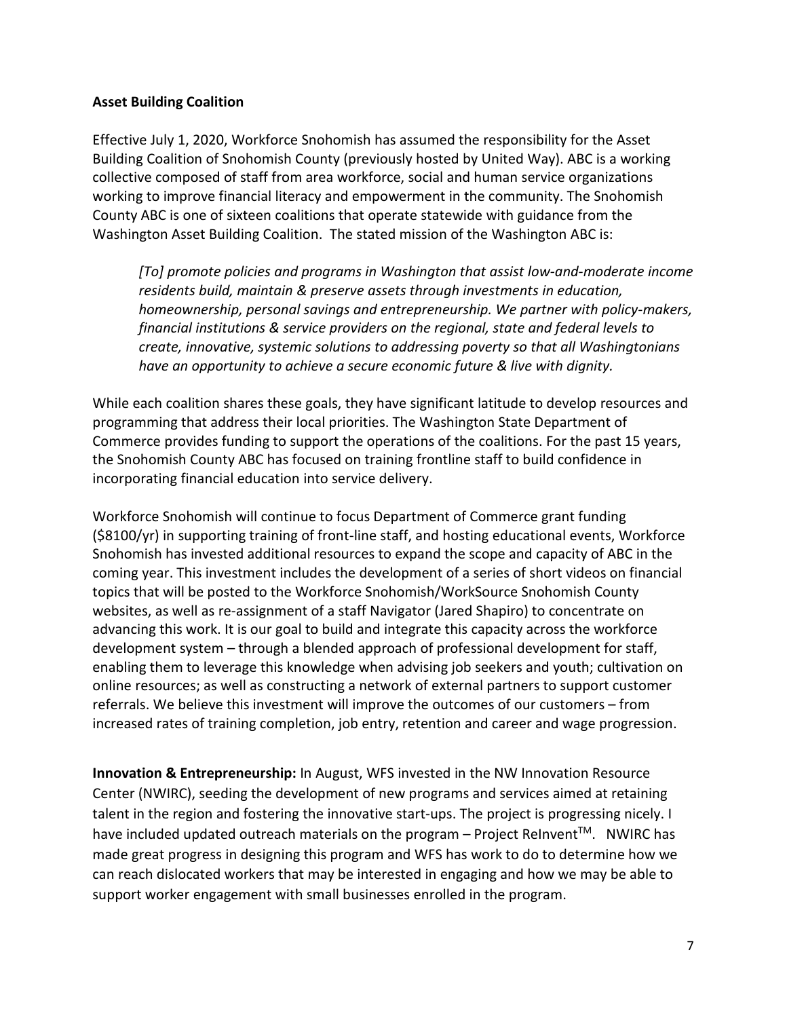### **Asset Building Coalition**

Effective July 1, 2020, Workforce Snohomish has assumed the responsibility for the Asset Building Coalition of Snohomish County (previously hosted by United Way). ABC is a working collective composed of staff from area workforce, social and human service organizations working to improve financial literacy and empowerment in the community. The Snohomish County ABC is one of sixteen coalitions that operate statewide with guidance from the Washington Asset Building Coalition. The stated mission of the Washington ABC is:

*[To] promote policies and programs in Washington that assist low-and-moderate income residents build, maintain & preserve assets through investments in education, homeownership, personal savings and entrepreneurship. We partner with policy-makers, financial institutions & service providers on the regional, state and federal levels to create, innovative, systemic solutions to addressing poverty so that all Washingtonians have an opportunity to achieve a secure economic future & live with dignity.* 

While each coalition shares these goals, they have significant latitude to develop resources and programming that address their local priorities. The Washington State Department of Commerce provides funding to support the operations of the coalitions. For the past 15 years, the Snohomish County ABC has focused on training frontline staff to build confidence in incorporating financial education into service delivery.

Workforce Snohomish will continue to focus Department of Commerce grant funding (\$8100/yr) in supporting training of front-line staff, and hosting educational events, Workforce Snohomish has invested additional resources to expand the scope and capacity of ABC in the coming year. This investment includes the development of a series of short videos on financial topics that will be posted to the Workforce Snohomish/WorkSource Snohomish County websites, as well as re-assignment of a staff Navigator (Jared Shapiro) to concentrate on advancing this work. It is our goal to build and integrate this capacity across the workforce development system – through a blended approach of professional development for staff, enabling them to leverage this knowledge when advising job seekers and youth; cultivation on online resources; as well as constructing a network of external partners to support customer referrals. We believe this investment will improve the outcomes of our customers – from increased rates of training completion, job entry, retention and career and wage progression.

**Innovation & Entrepreneurship:** In August, WFS invested in the NW Innovation Resource Center (NWIRC), seeding the development of new programs and services aimed at retaining talent in the region and fostering the innovative start-ups. The project is progressing nicely. I have included updated outreach materials on the program - Project ReInvent™. NWIRC has made great progress in designing this program and WFS has work to do to determine how we can reach dislocated workers that may be interested in engaging and how we may be able to support worker engagement with small businesses enrolled in the program.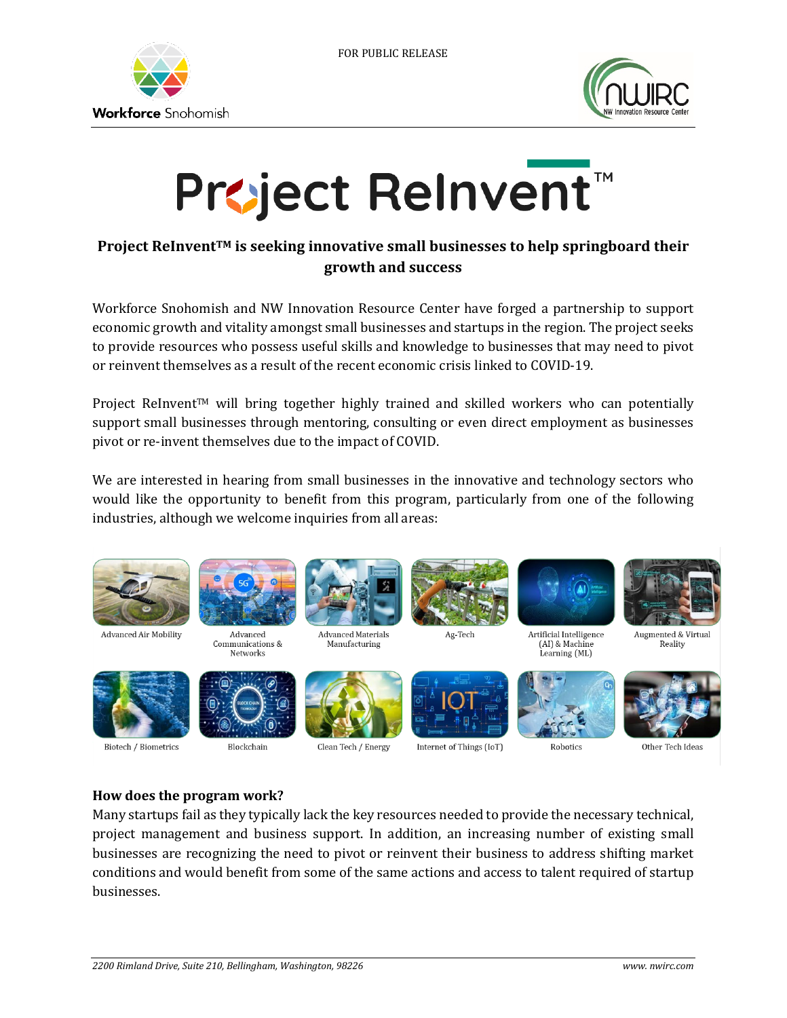



# **Project ReInvent™**

# **Project ReInventTM is seeking innovative small businesses to help springboard their growth and success**

Workforce Snohomish and NW Innovation Resource Center have forged a partnership to support economic growth and vitality amongst small businesses and startups in the region. The project seeks to provide resources who possess useful skills and knowledge to businesses that may need to pivot or reinvent themselves as a result of the recent economic crisis linked to COVID-19.

Project ReInvent™ will bring together highly trained and skilled workers who can potentially support small businesses through mentoring, consulting or even direct employment as businesses pivot or re-invent themselves due to the impact of COVID.

We are interested in hearing from small businesses in the innovative and technology sectors who would like the opportunity to benefit from this program, particularly from one of the following industries, although we welcome inquiries from all areas:



### **How does the program work?**

Many startups fail as they typically lack the key resources needed to provide the necessary technical, project management and business support. In addition, an increasing number of existing small businesses are recognizing the need to pivot or reinvent their business to address shifting market conditions and would benefit from some of the same actions and access to talent required of startup businesses.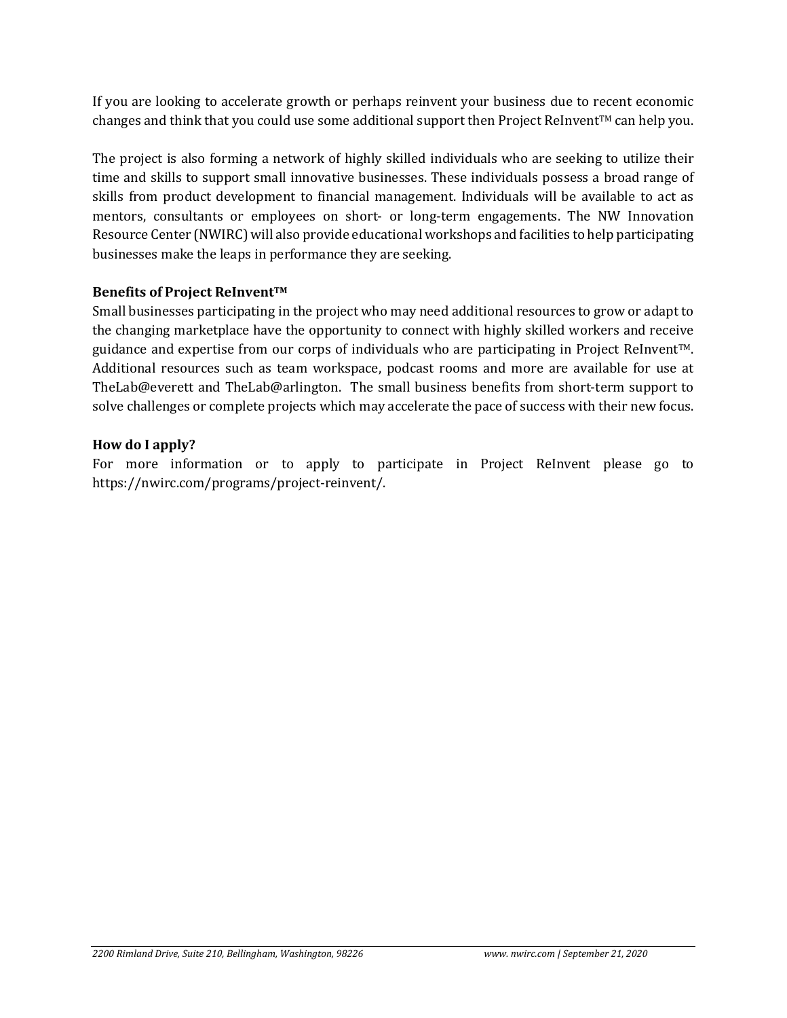If you are looking to accelerate growth or perhaps reinvent your business due to recent economic changes and think that you could use some additional support then Project ReInvent™ can help you.

The project is also forming a network of highly skilled individuals who are seeking to utilize their time and skills to support small innovative businesses. These individuals possess a broad range of skills from product development to financial management. Individuals will be available to act as mentors, consultants or employees on short- or long-term engagements. The NW Innovation Resource Center (NWIRC) will also provide educational workshops and facilities to help participating businesses make the leaps in performance they are seeking.

### **Benefits of Project ReInvent™**

Small businesses participating in the project who may need additional resources to grow or adapt to the changing marketplace have the opportunity to connect with highly skilled workers and receive guidance and expertise from our corps of individuals who are participating in Project ReInvent $TM$ . Additional resources such as team workspace, podcast rooms and more are available for use at TheLab@everett and TheLab@arlington. The small business benefits from short-term support to solve challenges or complete projects which may accelerate the pace of success with their new focus.

### **How do I apply?**

For more information or to apply to participate in Project ReInvent please go to https://nwirc.com/programs/project-reinvent/.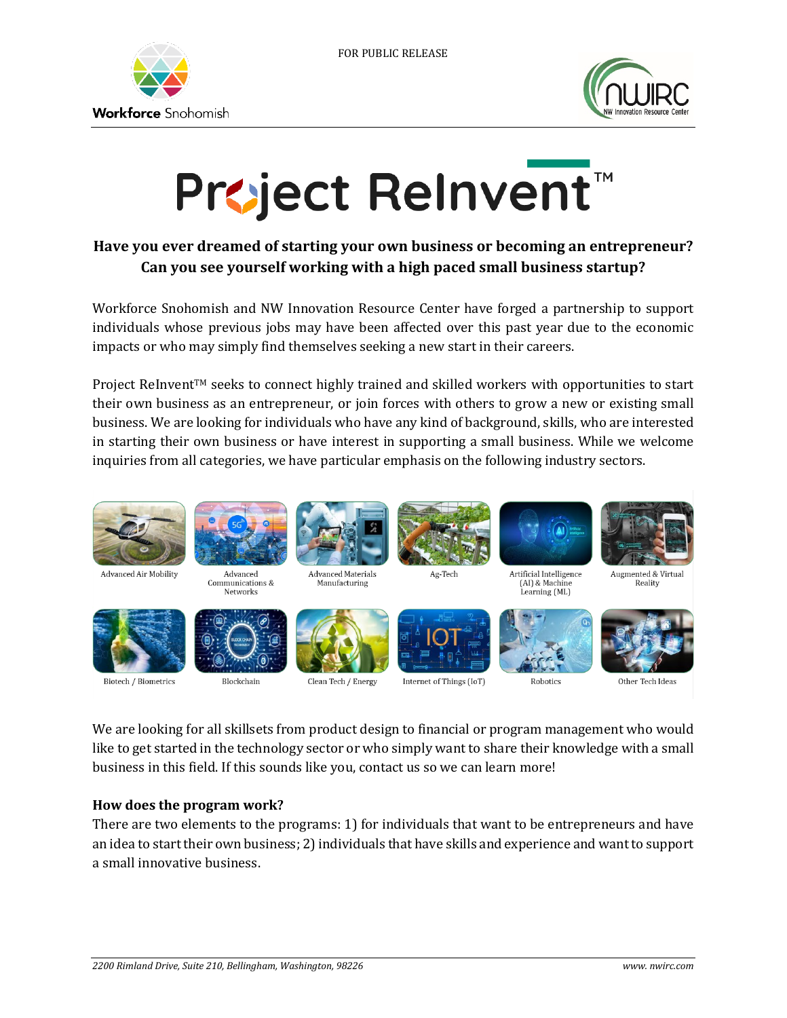



# **Project ReInvent™**

# **Have you ever dreamed of starting your own business or becoming an entrepreneur? Can you see yourself working with a high paced small business startup?**

Workforce Snohomish and NW Innovation Resource Center have forged a partnership to support individuals whose previous jobs may have been affected over this past year due to the economic impacts or who may simply find themselves seeking a new start in their careers.

Project ReInvent™ seeks to connect highly trained and skilled workers with opportunities to start their own business as an entrepreneur, or join forces with others to grow a new or existing small business. We are looking for individuals who have any kind of background, skills, who are interested in starting their own business or have interest in supporting a small business. While we welcome inquiries from all categories, we have particular emphasis on the following industry sectors.

![](_page_9_Picture_7.jpeg)

We are looking for all skillsets from product design to financial or program management who would like to get started in the technology sector or who simply want to share their knowledge with a small business in this field. If this sounds like you, contact us so we can learn more!

### **How does the program work?**

There are two elements to the programs: 1) for individuals that want to be entrepreneurs and have an idea to start their own business; 2) individuals that have skills and experience and want to support a small innovative business.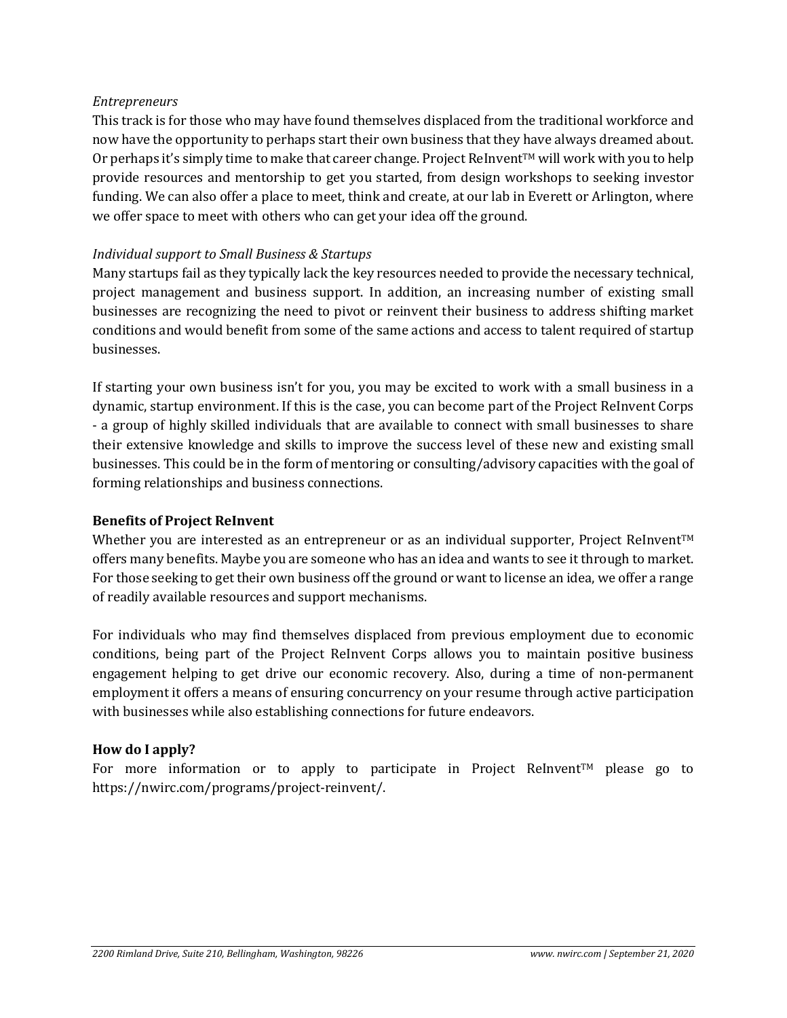### *Entrepreneurs*

This track is for those who may have found themselves displaced from the traditional workforce and now have the opportunity to perhaps start their own business that they have always dreamed about. Or perhaps it's simply time to make that career change. Project ReInvent<sup>TM</sup> will work with you to help provide resources and mentorship to get you started, from design workshops to seeking investor funding. We can also offer a place to meet, think and create, at our lab in Everett or Arlington, where we offer space to meet with others who can get your idea off the ground.

### *Individual support to Small Business & Startups*

Many startups fail as they typically lack the key resources needed to provide the necessary technical, project management and business support. In addition, an increasing number of existing small businesses are recognizing the need to pivot or reinvent their business to address shifting market conditions and would benefit from some of the same actions and access to talent required of startup businesses.

If starting your own business isn't for you, you may be excited to work with a small business in a dynamic, startup environment. If this is the case, you can become part of the Project ReInvent Corps - a group of highly skilled individuals that are available to connect with small businesses to share their extensive knowledge and skills to improve the success level of these new and existing small businesses. This could be in the form of mentoring or consulting/advisory capacities with the goal of forming relationships and business connections.

### **Benefits of Project ReInvent**

Whether you are interested as an entrepreneur or as an individual supporter, Project ReInvent™ offers many benefits. Maybe you are someone who has an idea and wants to see it through to market. For those seeking to get their own business off the ground or want to license an idea, we offer a range of readily available resources and support mechanisms.

For individuals who may find themselves displaced from previous employment due to economic conditions, being part of the Project ReInvent Corps allows you to maintain positive business engagement helping to get drive our economic recovery. Also, during a time of non-permanent employment it offers a means of ensuring concurrency on your resume through active participation with businesses while also establishing connections for future endeavors.

### **How do I apply?**

For more information or to apply to participate in Project ReInvent<sup>™</sup> please go to https://nwirc.com/programs/project-reinvent/.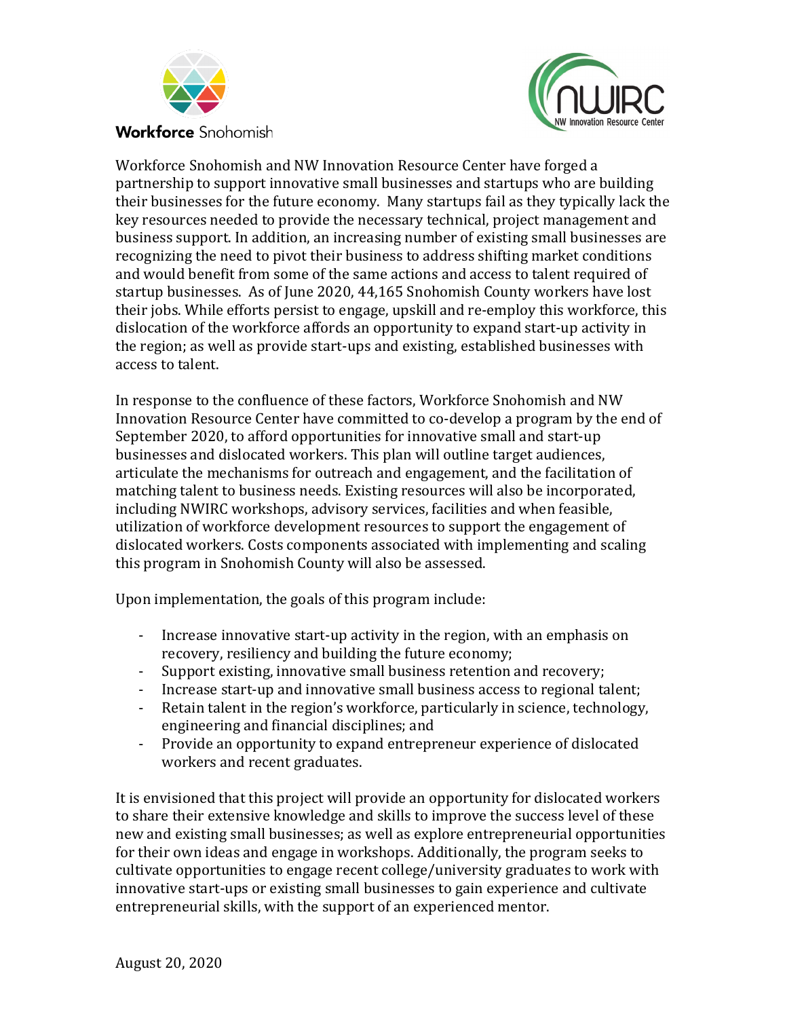![](_page_11_Picture_0.jpeg)

![](_page_11_Picture_1.jpeg)

Workforce Snohomish and NW Innovation Resource Center have forged a partnership to support innovative small businesses and startups who are building their businesses for the future economy. Many startups fail as they typically lack the key resources needed to provide the necessary technical, project management and business support. In addition, an increasing number of existing small businesses are recognizing the need to pivot their business to address shifting market conditions and would benefit from some of the same actions and access to talent required of startup businesses. As of June 2020, 44,165 Snohomish County workers have lost their jobs. While efforts persist to engage, upskill and re-employ this workforce, this dislocation of the workforce affords an opportunity to expand start-up activity in the region; as well as provide start-ups and existing, established businesses with access to talent.

In response to the confluence of these factors, Workforce Snohomish and NW Innovation Resource Center have committed to co-develop a program by the end of September 2020, to afford opportunities for innovative small and start-up businesses and dislocated workers. This plan will outline target audiences, articulate the mechanisms for outreach and engagement, and the facilitation of matching talent to business needs. Existing resources will also be incorporated, including NWIRC workshops, advisory services, facilities and when feasible, utilization of workforce development resources to support the engagement of dislocated workers. Costs components associated with implementing and scaling this program in Snohomish County will also be assessed.

Upon implementation, the goals of this program include:

- Increase innovative start-up activity in the region, with an emphasis on recovery, resiliency and building the future economy;
- Support existing, innovative small business retention and recovery;
- Increase start-up and innovative small business access to regional talent;
- Retain talent in the region's workforce, particularly in science, technology, engineering and financial disciplines; and
- Provide an opportunity to expand entrepreneur experience of dislocated workers and recent graduates.

It is envisioned that this project will provide an opportunity for dislocated workers to share their extensive knowledge and skills to improve the success level of these new and existing small businesses; as well as explore entrepreneurial opportunities for their own ideas and engage in workshops. Additionally, the program seeks to cultivate opportunities to engage recent college/university graduates to work with innovative start-ups or existing small businesses to gain experience and cultivate entrepreneurial skills, with the support of an experienced mentor.